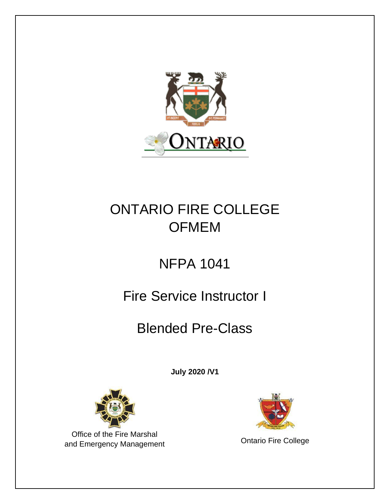

# ONTARIO FIRE COLLEGE **OFMEM**

# NFPA 1041

# Fire Service Instructor I

# Blended Pre-Class

**July 2020 /V1**



Office of the Fire Marshal and Emergency Management **Contact College**<br>
Ontario Fire College

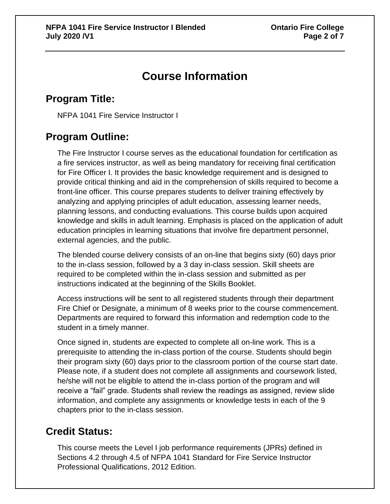## **Course Information**

### **Program Title:**

NFPA 1041 Fire Service Instructor I

#### **Program Outline:**

The Fire Instructor I course serves as the educational foundation for certification as a fire services instructor, as well as being mandatory for receiving final certification for Fire Officer I. It provides the basic knowledge requirement and is designed to provide critical thinking and aid in the comprehension of skills required to become a front-line officer. This course prepares students to deliver training effectively by analyzing and applying principles of adult education, assessing learner needs, planning lessons, and conducting evaluations. This course builds upon acquired knowledge and skills in adult learning. Emphasis is placed on the application of adult education principles in learning situations that involve fire department personnel, external agencies, and the public.

The blended course delivery consists of an on-line that begins sixty (60) days prior to the in-class session, followed by a 3 day in-class session. Skill sheets are required to be completed within the in-class session and submitted as per instructions indicated at the beginning of the Skills Booklet.

Access instructions will be sent to all registered students through their department Fire Chief or Designate, a minimum of 8 weeks prior to the course commencement. Departments are required to forward this information and redemption code to the student in a timely manner.

Once signed in, students are expected to complete all on-line work. This is a prerequisite to attending the in-class portion of the course. Students should begin their program sixty (60) days prior to the classroom portion of the course start date. Please note, if a student does not complete all assignments and coursework listed, he/she will not be eligible to attend the in-class portion of the program and will receive a "fail" grade. Students shall review the readings as assigned, review slide information, and complete any assignments or knowledge tests in each of the 9 chapters prior to the in-class session.

#### **Credit Status:**

This course meets the Level I job performance requirements (JPRs) defined in Sections 4.2 through 4.5 of NFPA 1041 Standard for Fire Service Instructor Professional Qualifications, 2012 Edition.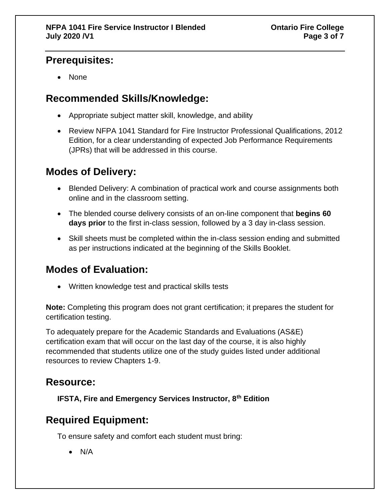#### **Prerequisites:**

• None

#### **Recommended Skills/Knowledge:**

- Appropriate subject matter skill, knowledge, and ability
- Review NFPA 1041 Standard for Fire Instructor Professional Qualifications, 2012 Edition, for a clear understanding of expected Job Performance Requirements (JPRs) that will be addressed in this course.

### **Modes of Delivery:**

- Blended Delivery: A combination of practical work and course assignments both online and in the classroom setting.
- The blended course delivery consists of an on-line component that **begins 60 days prior** to the first in-class session, followed by a 3 day in-class session.
- Skill sheets must be completed within the in-class session ending and submitted as per instructions indicated at the beginning of the Skills Booklet.

#### **Modes of Evaluation:**

• Written knowledge test and practical skills tests

**Note:** Completing this program does not grant certification; it prepares the student for certification testing.

To adequately prepare for the Academic Standards and Evaluations (AS&E) certification exam that will occur on the last day of the course, it is also highly recommended that students utilize one of the study guides listed under additional resources to review Chapters 1-9.

#### **Resource:**

**IFSTA, Fire and Emergency Services Instructor, 8th Edition**

### **Required Equipment:**

To ensure safety and comfort each student must bring:

• N/A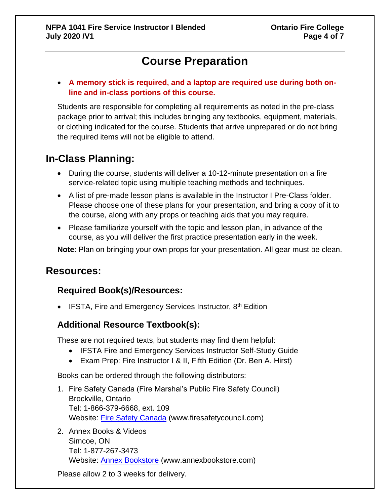## **Course Preparation**

• **A memory stick is required, and a laptop are required use during both online and in-class portions of this course.** 

Students are responsible for completing all requirements as noted in the pre-class package prior to arrival; this includes bringing any textbooks, equipment, materials, or clothing indicated for the course. Students that arrive unprepared or do not bring the required items will not be eligible to attend.

#### **In-Class Planning:**

- During the course, students will deliver a 10-12-minute presentation on a fire service-related topic using multiple teaching methods and techniques.
- A list of pre-made lesson plans is available in the Instructor I Pre-Class folder. Please choose one of these plans for your presentation, and bring a copy of it to the course, along with any props or teaching aids that you may require.
- Please familiarize yourself with the topic and lesson plan, in advance of the course, as you will deliver the first practice presentation early in the week.

**Note**: Plan on bringing your own props for your presentation. All gear must be clean.

#### **Resources:**

#### **Required Book(s)/Resources:**

• IFSTA, Fire and Emergency Services Instructor,  $8<sup>th</sup>$  Edition

#### **Additional Resource Textbook(s):**

These are not required texts, but students may find them helpful:

- IFSTA Fire and Emergency Services Instructor Self-Study Guide
- Exam Prep: Fire Instructor I & II, Fifth Edition (Dr. Ben A. Hirst)

Books can be ordered through the following distributors:

- 1. Fire Safety Canada (Fire Marshal's Public Fire Safety Council) Brockville, Ontario Tel: 1-866-379-6668, ext. 109 Website: [Fire Safety Canada](http://www.firesafetycouncil.com/) (www.firesafetycouncil.com)
- 2. Annex Books & Videos Simcoe, ON Tel: 1-877-267-3473 Website: **Annex Bookstore** (www.annexbookstore.com)

Please allow 2 to 3 weeks for delivery.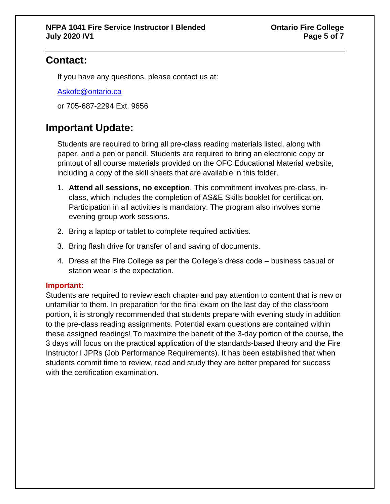### **Contact:**

If you have any questions, please contact us at:

[Askofc@ontario.ca](mailto:Askofc@ontario.ca)

or 705-687-2294 Ext. 9656

### **Important Update:**

Students are required to bring all pre-class reading materials listed, along with paper, and a pen or pencil. Students are required to bring an electronic copy or printout of all course materials provided on the OFC Educational Material website, including a copy of the skill sheets that are available in this folder.

- 1. **Attend all sessions, no exception**. This commitment involves pre-class, inclass, which includes the completion of AS&E Skills booklet for certification. Participation in all activities is mandatory. The program also involves some evening group work sessions.
- 2. Bring a laptop or tablet to complete required activities.
- 3. Bring flash drive for transfer of and saving of documents.
- 4. Dress at the Fire College as per the College's dress code business casual or station wear is the expectation.

#### **Important:**

Students are required to review each chapter and pay attention to content that is new or unfamiliar to them. In preparation for the final exam on the last day of the classroom portion, it is strongly recommended that students prepare with evening study in addition to the pre-class reading assignments. Potential exam questions are contained within these assigned readings! To maximize the benefit of the 3-day portion of the course, the 3 days will focus on the practical application of the standards-based theory and the Fire Instructor I JPRs (Job Performance Requirements). It has been established that when students commit time to review, read and study they are better prepared for success with the certification examination.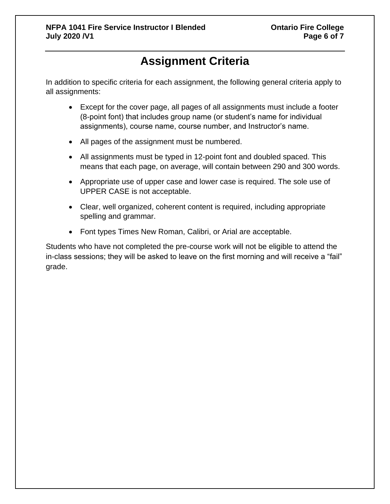## **Assignment Criteria**

In addition to specific criteria for each assignment, the following general criteria apply to all assignments:

- Except for the cover page, all pages of all assignments must include a footer (8-point font) that includes group name (or student's name for individual assignments), course name, course number, and Instructor's name.
- All pages of the assignment must be numbered.
- All assignments must be typed in 12-point font and doubled spaced. This means that each page, on average, will contain between 290 and 300 words.
- Appropriate use of upper case and lower case is required. The sole use of UPPER CASE is not acceptable.
- Clear, well organized, coherent content is required, including appropriate spelling and grammar.
- Font types Times New Roman, Calibri, or Arial are acceptable.

Students who have not completed the pre-course work will not be eligible to attend the in-class sessions; they will be asked to leave on the first morning and will receive a "fail" grade.